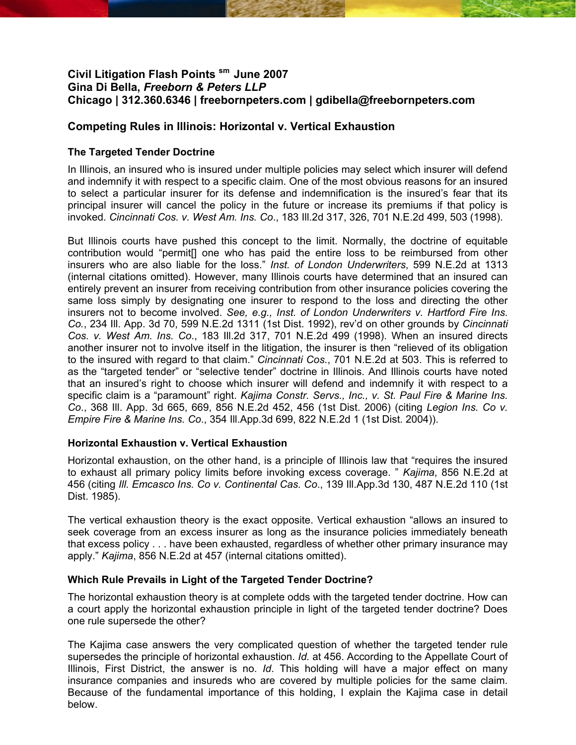# **Civil Litigation Flash Points sm June 2007 Gina Di Bella,** *Freeborn & Peters LLP*  **Chicago | 312.360.6346 | freebornpeters.com | gdibella@freebornpeters.com**

## **Competing Rules in Illinois: Horizontal v. Vertical Exhaustion**

## **The Targeted Tender Doctrine**

In Illinois, an insured who is insured under multiple policies may select which insurer will defend and indemnify it with respect to a specific claim. One of the most obvious reasons for an insured to select a particular insurer for its defense and indemnification is the insured's fear that its principal insurer will cancel the policy in the future or increase its premiums if that policy is invoked. *Cincinnati Cos. v. West Am. Ins. Co*., 183 Ill.2d 317, 326, 701 N.E.2d 499, 503 (1998).

But Illinois courts have pushed this concept to the limit. Normally, the doctrine of equitable contribution would "permit[] one who has paid the entire loss to be reimbursed from other insurers who are also liable for the loss." *Inst. of London Underwriters*, 599 N.E.2d at 1313 (internal citations omitted). However, many Illinois courts have determined that an insured can entirely prevent an insurer from receiving contribution from other insurance policies covering the same loss simply by designating one insurer to respond to the loss and directing the other insurers not to become involved. *See, e.g., Inst. of London Underwriters v. Hartford Fire Ins. Co.*, 234 Ill. App. 3d 70, 599 N.E.2d 1311 (1st Dist. 1992), rev'd on other grounds by *Cincinnati Cos. v. West Am. Ins. Co*., 183 Ill.2d 317, 701 N.E.2d 499 (1998). When an insured directs another insurer not to involve itself in the litigation, the insurer is then "relieved of its obligation to the insured with regard to that claim." *Cincinnati Cos.*, 701 N.E.2d at 503. This is referred to as the "targeted tender" or "selective tender" doctrine in Illinois. And Illinois courts have noted that an insured's right to choose which insurer will defend and indemnify it with respect to a specific claim is a "paramount" right. *Kajima Constr. Servs., Inc., v. St. Paul Fire & Marine Ins. Co*., 368 Ill. App. 3d 665, 669, 856 N.E.2d 452, 456 (1st Dist. 2006) (citing *Legion Ins. Co v. Empire Fire & Marine Ins. Co*., 354 Ill.App.3d 699, 822 N.E.2d 1 (1st Dist. 2004)).

### **Horizontal Exhaustion v. Vertical Exhaustion**

Horizontal exhaustion, on the other hand, is a principle of Illinois law that "requires the insured to exhaust all primary policy limits before invoking excess coverage. " *Kajima*, 856 N.E.2d at 456 (citing *Ill. Emcasco Ins. Co v. Continental Cas. Co*., 139 Ill.App.3d 130, 487 N.E.2d 110 (1st Dist. 1985).

The vertical exhaustion theory is the exact opposite. Vertical exhaustion "allows an insured to seek coverage from an excess insurer as long as the insurance policies immediately beneath that excess policy . . . have been exhausted, regardless of whether other primary insurance may apply." *Kajima*, 856 N.E.2d at 457 (internal citations omitted).

### **Which Rule Prevails in Light of the Targeted Tender Doctrine?**

The horizontal exhaustion theory is at complete odds with the targeted tender doctrine. How can a court apply the horizontal exhaustion principle in light of the targeted tender doctrine? Does one rule supersede the other?

The Kajima case answers the very complicated question of whether the targeted tender rule supersedes the principle of horizontal exhaustion. *Id.* at 456. According to the Appellate Court of Illinois, First District, the answer is no. *Id*. This holding will have a major effect on many insurance companies and insureds who are covered by multiple policies for the same claim. Because of the fundamental importance of this holding, I explain the Kajima case in detail below.